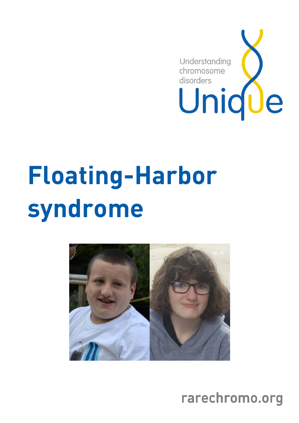

# Floating-Harbor syndrome



rarechromo.org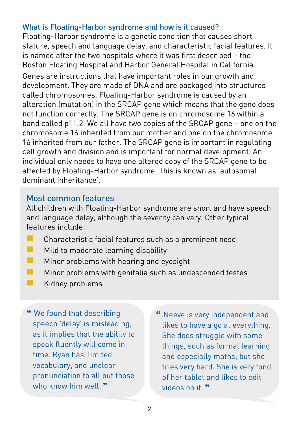#### What is Floating-Harbor syndrome and how is it caused?

Floating-Harbor syndrome is a genetic condition that causes short stature, speech and language delay, and characteristic facial features. It is named after the two hospitals where it was first described – the Boston Floating Hospital and Harbor General Hospital in California. Genes are instructions that have important roles in our growth and development. They are made of DNA and are packaged into structures called chromosomes. Floating-Harbor syndrome is caused by an alteration (mutation) in the SRCAP gene which means that the gene does not function correctly. The SRCAP gene is on chromosome 16 within a band called p11.2. We all have two copies of the SRCAP gene – one on the chromosome 16 inherited from our mother and one on the chromosome 16 inherited from our father. The SRCAP gene is important in regulating cell growth and division and is important for normal development. An individual only needs to have one altered copy of the SRCAP gene to be affected by Floating-Harbor syndrome. This is known as 'autosomal dominant inheritance'.

#### Most common features

All children with Floating-Harbor syndrome are short and have speech and language delay, although the severity can vary. Other typical features include:

- **Characteristic facial features such as a prominent nose**
- $\blacksquare$  Mild to moderate learning disability
- **Minor problems with hearing and eyesight**
- $\blacksquare$  Minor problems with genitalia such as undescended testes
- $\blacksquare$  Kidney problems

 We found that describing speech 'delay' is misleading, as it implies that the ability to speak fluently will come in time. Ryan has limited vocabulary, and unclear pronunciation to all but those who know him well."

 Neeve is very independent and likes to have a go at everything. She does struggle with some things, such as formal learning and especially maths, but she tries very hard. She is very fond of her tablet and likes to edit videos on it.<sup>37</sup>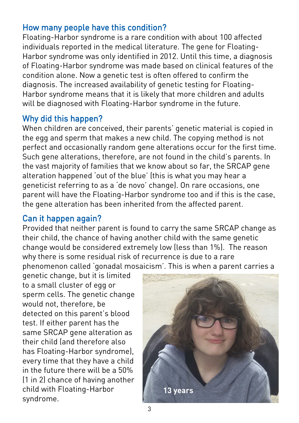#### How many people have this condition?

Floating-Harbor syndrome is a rare condition with about 100 affected individuals reported in the medical literature. The gene for Floating-Harbor syndrome was only identified in 2012. Until this time, a diagnosis of Floating-Harbor syndrome was made based on clinical features of the condition alone. Now a genetic test is often offered to confirm the diagnosis. The increased availability of genetic testing for Floating-Harbor syndrome means that it is likely that more children and adults will be diagnosed with Floating-Harbor syndrome in the future.

#### Why did this happen?

When children are conceived, their parents' genetic material is copied in the egg and sperm that makes a new child. The copying method is not perfect and occasionally random gene alterations occur for the first time. Such gene alterations, therefore, are not found in the child's parents. In the vast majority of families that we know about so far, the SRCAP gene alteration happened 'out of the blue' (this is what you may hear a geneticist referring to as a 'de novo' change). On rare occasions, one parent will have the Floating-Harbor syndrome too and if this is the case, the gene alteration has been inherited from the affected parent.

#### Can it happen again?

Provided that neither parent is found to carry the same SRCAP change as their child, the chance of having another child with the same genetic change would be considered extremely low (less than 1%). The reason why there is some residual risk of recurrence is due to a rare phenomenon called 'gonadal mosaicism'. This is when a parent carries a

genetic change, but it is limited to a small cluster of egg or sperm cells. The genetic change would not, therefore, be detected on this parent's blood test. If either parent has the same SRCAP gene alteration as their child (and therefore also has Floating-Harbor syndrome), every time that they have a child in the future there will be a 50% (1 in 2) chance of having another child with Floating-Harbor syndrome.

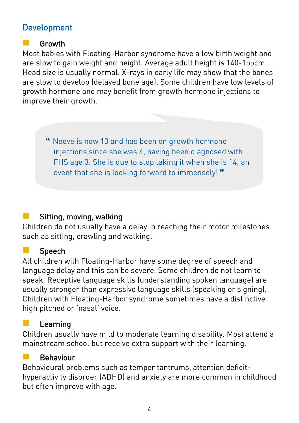# **Development**

#### Growth

Most babies with Floating-Harbor syndrome have a low birth weight and are slow to gain weight and height. Average adult height is 140-155cm. Head size is usually normal. X-rays in early life may show that the bones are slow to develop (delayed bone age). Some children have low levels of growth hormone and may benefit from growth hormone injections to improve their growth.

 Neeve is now 13 and has been on growth hormone injections since she was 4, having been diagnosed with FHS age 3. She is due to stop taking it when she is 14, an event that she is looking forward to immensely!"

# Sitting, moving, walking

Children do not usually have a delay in reaching their motor milestones such as sitting, crawling and walking.

# **Speech**

All children with Floating-Harbor have some degree of speech and language delay and this can be severe. Some children do not learn to speak. Receptive language skills (understanding spoken language) are usually stronger than expressive language skills (speaking or signing). Children with Floating-Harbor syndrome sometimes have a distinctive high pitched or 'nasal' voice.

# Learning

Children usually have mild to moderate learning disability. Most attend a mainstream school but receive extra support with their learning.

#### Behaviour

Behavioural problems such as temper tantrums, attention deficithyperactivity disorder (ADHD) and anxiety are more common in childhood but often improve with age.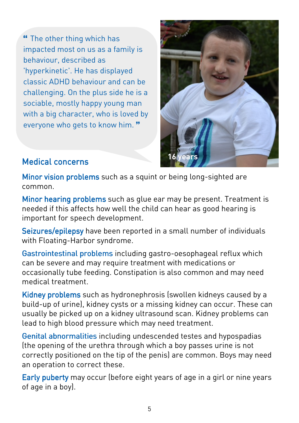The other thing which has impacted most on us as a family is behaviour, described as 'hyperkinetic'. He has displayed classic ADHD behaviour and can be challenging. On the plus side he is a sociable, mostly happy young man with a big character, who is loved by everyone who gets to know him."



# Medical concerns Medical concerns

Minor vision problems such as a squint or being long-sighted are common.

Minor hearing problems such as glue ear may be present. Treatment is needed if this affects how well the child can hear as good hearing is important for speech development.

Seizures/epilepsy have been reported in a small number of individuals with Floating-Harbor syndrome.

Gastrointestinal problems including gastro-oesophageal refluxwhich can be severe and may require treatment with medications or occasionally tube feeding. Constipation is also common and may need medical treatment.

Kidney problems such as hydronephrosis (swollen kidneys caused by a build-up of urine), kidney cysts or a missing kidney can occur. These can usually be picked up on a kidney ultrasound scan. Kidney problems can lead to high blood pressure which may need treatment.

Genital abnormalities including undescended testes and hypospadias (the opening of the urethra through which a boy passes urine is not correctly positioned on the tip of the penis) are common. Boys may need an operation to correct these.

Early puberty may occur (before eight years of age in a girl or nine years of age in a boy).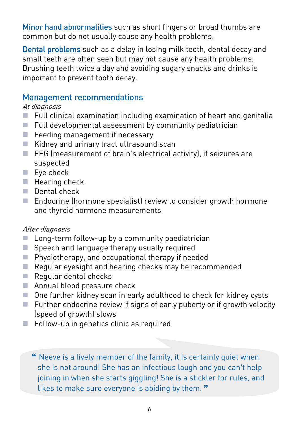Minor hand abnormalities such as short fingers or broad thumbs are common but do not usually cause any health problems.

Dental problems such as a delay in losing milk teeth, dental decay and small teeth are often seen but may not cause any health problems. Brushing teeth twice a day and avoiding sugary snacks and drinks is important to prevent tooth decay.

#### **Management recommendations**

#### At diagnosis

- Full clinical examination including examination of heart and genitalia
- $\blacksquare$  Full developmental assessment by community pediatrician
- Feeding management if necessary
- Kidney and urinary tract ultrasound scan
- $\blacksquare$  EEG (measurement of brain's electrical activity), if seizures are suspected
- Eye check
- $\blacksquare$  Hearing check
- **Dental check**
- Endocrine (hormone specialist) review to consider growth hormone and thyroid hormone measurements

#### After diagnosis

- Long-term follow-up by a community paediatrician
- Speech and language therapy usually required
- **Physiotherapy, and occupational therapy if needed**
- Regular eyesight and hearing checks may be recommended
- Regular dental checks
- Annual blood pressure check
- One further kidney scan in early adulthood to check for kidney cysts
- $\blacksquare$  Further endocrine review if signs of early puberty or if growth velocity (speed of growth) slows
- $\blacksquare$  Follow-up in genetics clinic as required

 Neeve is a lively member of the family, it is certainly quiet when she is not around! She has an infectious laugh and you can't help joining in when she starts giggling! She is a stickler for rules, and likes to make sure everyone is abiding by them."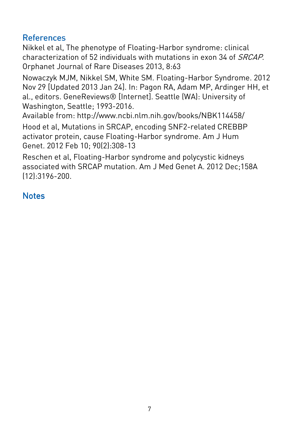# **References**

Nikkel et al, The phenotype of Floating-Harbor syndrome: clinical characterization of 52 individuals with mutations in exon 34 of SRCAP. Orphanet Journal of Rare Diseases 2013, 8:63

Nowaczyk MJM, Nikkel SM, White SM. Floating-Harbor Syndrome. 2012 Nov 29 [Updated 2013 Jan 24]. In: Pagon RA, Adam MP, Ardinger HH, et al., editors. GeneReviews® [Internet]. Seattle (WA): University of Washington, Seattle; 1993-2016.

Available from: http://www.ncbi.nlm.nih.gov/books/NBK114458/ Hood et al, Mutations in SRCAP, encoding SNF2-related CREBBP activator protein, cause Floating-Harbor syndrome. Am J Hum Genet. 2012 Feb 10; 90(2):308-13

Reschen et al, Floating-Harbor syndrome and polycystic kidneys associated with SRCAP mutation. Am J Med Genet A. 2012 Dec;158A (12):3196-200.

# **Notes**